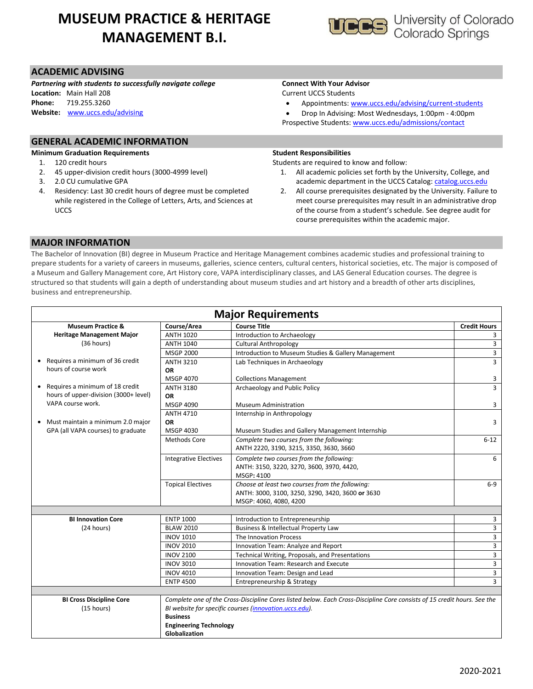# **MUSEUM PRACTICE & HERITAGE MANAGEMENT B.I.**



*Partnering with students to successfully navigate college* **Location:** Main Hall 208

**Phone:** 719.255.3260

**Website:** [www.uccs.edu/advising](http://www.uccs.edu/advising)

## **Connect With Your Advisor**

Current UCCS Students

Appointments: [www.uccs.edu/advising/current-students](http://www.uccs.edu/advising/current-students)

 Drop In Advising: Most Wednesdays, 1:00pm - 4:00pm Prospective Students: [www.uccs.edu/admissions/contact](http://www.uccs.edu/admissions/contact)

## **GENERAL ACADEMIC INFORMATION**

#### **Minimum Graduation Requirements**

- 1. 120 credit hours
- 2. 45 upper-division credit hours (3000-4999 level)
- 3. 2.0 CU cumulative GPA
- 4. Residency: Last 30 credit hours of degree must be completed while registered in the College of Letters, Arts, and Sciences at **UCCS**

#### **Student Responsibilities**

Students are required to know and follow:

- 1. All academic policies set forth by the University, College, and academic department in the UCCS Catalog[: catalog.uccs.edu](file://///columbia/Dept/Success/Advising%20Guides/197%20Advising%20Guides/catalog.uccs.edu)
- 2. All course prerequisites designated by the University. Failure to meet course prerequisites may result in an administrative drop of the course from a student's schedule. See degree audit for course prerequisites within the academic major.

### **MAJOR INFORMATION**

The Bachelor of Innovation (BI) degree in Museum Practice and Heritage Management combines academic studies and professional training to prepare students for a variety of careers in museums, galleries, science centers, cultural centers, historical societies, etc. The major is composed of a Museum and Gallery Management core, Art History core, VAPA interdisciplinary classes, and LAS General Education courses. The degree is structured so that students will gain a depth of understanding about museum studies and art history and a breadth of other arts disciplines, business and entrepreneurship.

| <b>Major Requirements</b>             |                               |                                                                                                                          |                     |  |  |  |
|---------------------------------------|-------------------------------|--------------------------------------------------------------------------------------------------------------------------|---------------------|--|--|--|
| <b>Museum Practice &amp;</b>          | Course/Area                   | <b>Course Title</b>                                                                                                      | <b>Credit Hours</b> |  |  |  |
| <b>Heritage Management Major</b>      | <b>ANTH 1020</b>              | Introduction to Archaeology                                                                                              | 3                   |  |  |  |
| (36 hours)                            | <b>ANTH 1040</b>              | <b>Cultural Anthropology</b>                                                                                             | $\overline{3}$      |  |  |  |
|                                       | <b>MSGP 2000</b>              | Introduction to Museum Studies & Gallery Management                                                                      | $\overline{3}$      |  |  |  |
| Requires a minimum of 36 credit<br>٠  | <b>ANTH 3210</b>              | Lab Techniques in Archaeology                                                                                            | $\overline{3}$      |  |  |  |
| hours of course work                  | <b>OR</b>                     |                                                                                                                          |                     |  |  |  |
|                                       | <b>MSGP 4070</b>              | <b>Collections Management</b>                                                                                            | 3                   |  |  |  |
| Requires a minimum of 18 credit       | <b>ANTH 3180</b>              | Archaeology and Public Policy                                                                                            | $\overline{3}$      |  |  |  |
| hours of upper-division (3000+ level) | <b>OR</b>                     |                                                                                                                          |                     |  |  |  |
| VAPA course work.                     | MSGP 4090                     | <b>Museum Administration</b>                                                                                             | 3                   |  |  |  |
|                                       | <b>ANTH 4710</b>              | Internship in Anthropology                                                                                               |                     |  |  |  |
| Must maintain a minimum 2.0 major     | <b>OR</b>                     |                                                                                                                          | 3                   |  |  |  |
| GPA (all VAPA courses) to graduate    | MSGP 4030                     | Museum Studies and Gallery Management Internship                                                                         |                     |  |  |  |
|                                       | Methods Core                  | Complete two courses from the following:                                                                                 | $6 - 12$            |  |  |  |
|                                       |                               | ANTH 2220, 3190, 3215, 3350, 3630, 3660                                                                                  |                     |  |  |  |
|                                       | <b>Integrative Electives</b>  | Complete two courses from the following:                                                                                 | 6                   |  |  |  |
|                                       |                               | ANTH: 3150, 3220, 3270, 3600, 3970, 4420,                                                                                |                     |  |  |  |
|                                       |                               | MSGP: 4100                                                                                                               |                     |  |  |  |
|                                       | <b>Topical Electives</b>      | Choose at least two courses from the following:                                                                          | $6-9$               |  |  |  |
|                                       |                               | ANTH: 3000, 3100, 3250, 3290, 3420, 3600 or 3630                                                                         |                     |  |  |  |
|                                       |                               | MSGP: 4060, 4080, 4200                                                                                                   |                     |  |  |  |
|                                       |                               |                                                                                                                          |                     |  |  |  |
| <b>BI Innovation Core</b>             | <b>ENTP 1000</b>              | Introduction to Entrepreneurship                                                                                         | 3                   |  |  |  |
| (24 hours)                            | <b>BLAW 2010</b>              | Business & Intellectual Property Law                                                                                     | 3                   |  |  |  |
|                                       | <b>INOV 1010</b>              | The Innovation Process                                                                                                   | 3                   |  |  |  |
|                                       | <b>INOV 2010</b>              | Innovation Team: Analyze and Report                                                                                      | 3                   |  |  |  |
|                                       | <b>INOV 2100</b>              | Technical Writing, Proposals, and Presentations                                                                          | 3                   |  |  |  |
|                                       | <b>INOV 3010</b>              | Innovation Team: Research and Execute                                                                                    | 3                   |  |  |  |
|                                       | <b>INOV 4010</b>              | Innovation Team: Design and Lead                                                                                         | 3                   |  |  |  |
|                                       | <b>ENTP 4500</b>              | Entrepreneurship & Strategy                                                                                              | 3                   |  |  |  |
|                                       |                               |                                                                                                                          |                     |  |  |  |
| <b>BI Cross Discipline Core</b>       |                               | Complete one of the Cross-Discipline Cores listed below. Each Cross-Discipline Core consists of 15 credit hours. See the |                     |  |  |  |
| (15 hours)                            |                               | BI website for specific courses (innovation.uccs.edu).                                                                   |                     |  |  |  |
|                                       | <b>Business</b>               |                                                                                                                          |                     |  |  |  |
|                                       | <b>Engineering Technology</b> |                                                                                                                          |                     |  |  |  |
|                                       | Globalization                 |                                                                                                                          |                     |  |  |  |